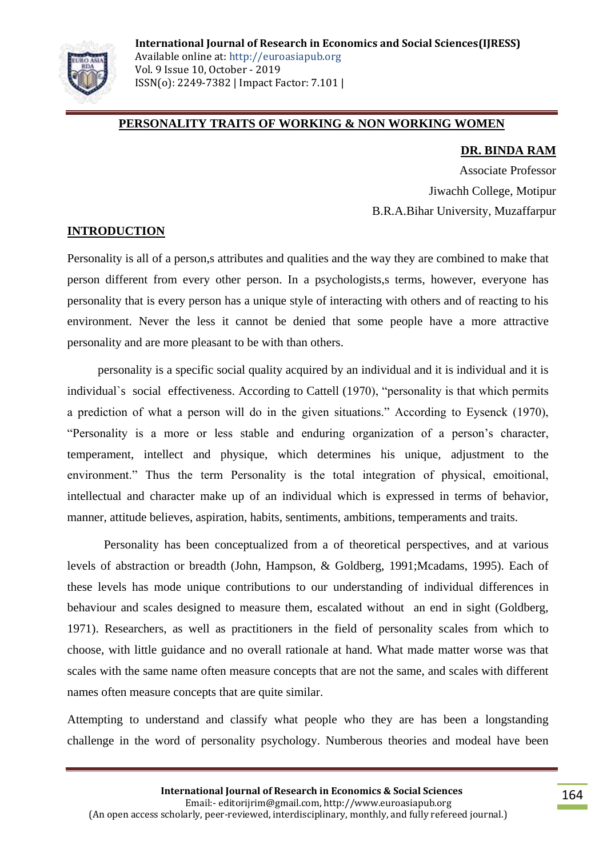

## **PERSONALITY TRAITS OF WORKING & NON WORKING WOMEN**

#### **DR. BINDA RAM**

Associate Professor Jiwachh College, Motipur B.R.A.Bihar University, Muzaffarpur

## **INTRODUCTION**

Personality is all of a person,s attributes and qualities and the way they are combined to make that person different from every other person. In a psychologists,s terms, however, everyone has personality that is every person has a unique style of interacting with others and of reacting to his environment. Never the less it cannot be denied that some people have a more attractive personality and are more pleasant to be with than others.

 personality is a specific social quality acquired by an individual and it is individual and it is individual`s social effectiveness. According to Cattell (1970), "personality is that which permits a prediction of what a person will do in the given situations." According to Eysenck (1970), "Personality is a more or less stable and enduring organization of a person"s character, temperament, intellect and physique, which determines his unique, adjustment to the environment." Thus the term Personality is the total integration of physical, emoitional, intellectual and character make up of an individual which is expressed in terms of behavior, manner, attitude believes, aspiration, habits, sentiments, ambitions, temperaments and traits.

Personality has been conceptualized from a of theoretical perspectives, and at various levels of abstraction or breadth (John, Hampson, & Goldberg, 1991;Mcadams, 1995). Each of these levels has mode unique contributions to our understanding of individual differences in behaviour and scales designed to measure them, escalated without an end in sight (Goldberg, 1971). Researchers, as well as practitioners in the field of personality scales from which to choose, with little guidance and no overall rationale at hand. What made matter worse was that scales with the same name often measure concepts that are not the same, and scales with different names often measure concepts that are quite similar.

Attempting to understand and classify what people who they are has been a longstanding challenge in the word of personality psychology. Numberous theories and modeal have been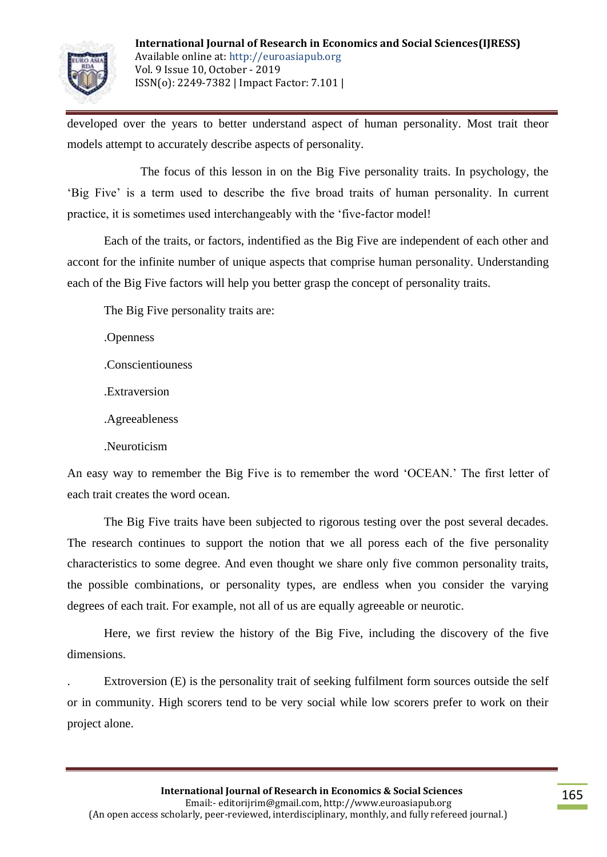

developed over the years to better understand aspect of human personality. Most trait theor models attempt to accurately describe aspects of personality.

The focus of this lesson in on the Big Five personality traits. In psychology, the "Big Five" is a term used to describe the five broad traits of human personality. In current practice, it is sometimes used interchangeably with the "five-factor model!

Each of the traits, or factors, indentified as the Big Five are independent of each other and accont for the infinite number of unique aspects that comprise human personality. Understanding each of the Big Five factors will help you better grasp the concept of personality traits.

The Big Five personality traits are:

.Openness

.Conscientiouness

.Extraversion

.Agreeableness

.Neuroticism

An easy way to remember the Big Five is to remember the word "OCEAN." The first letter of each trait creates the word ocean.

The Big Five traits have been subjected to rigorous testing over the post several decades. The research continues to support the notion that we all poress each of the five personality characteristics to some degree. And even thought we share only five common personality traits, the possible combinations, or personality types, are endless when you consider the varying degrees of each trait. For example, not all of us are equally agreeable or neurotic.

Here, we first review the history of the Big Five, including the discovery of the five dimensions.

. Extroversion (E) is the personality trait of seeking fulfilment form sources outside the self or in community. High scorers tend to be very social while low scorers prefer to work on their project alone.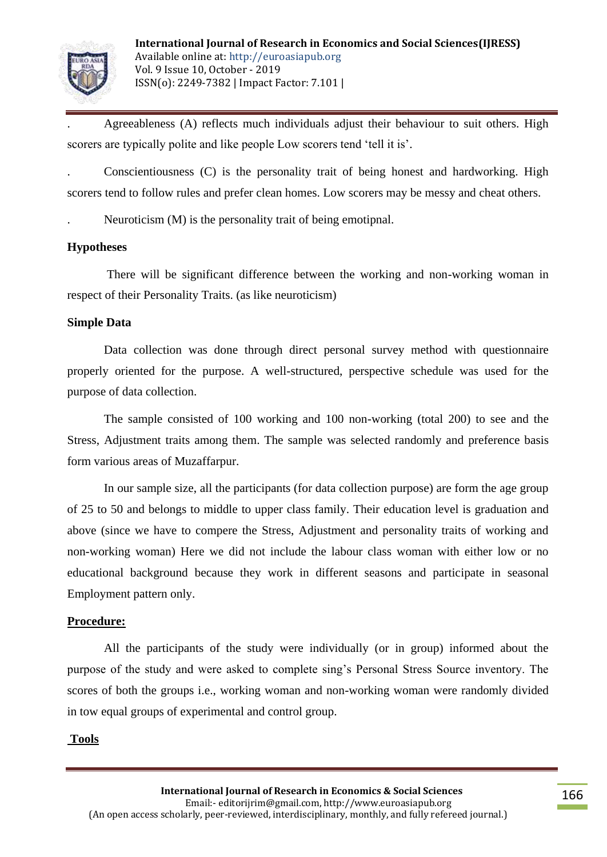

. Agreeableness (A) reflects much individuals adjust their behaviour to suit others. High scorers are typically polite and like people Low scorers tend "tell it is".

. Conscientiousness (C) is the personality trait of being honest and hardworking. High scorers tend to follow rules and prefer clean homes. Low scorers may be messy and cheat others.

. Neuroticism (M) is the personality trait of being emotipnal.

#### **Hypotheses**

There will be significant difference between the working and non-working woman in respect of their Personality Traits. (as like neuroticism)

#### **Simple Data**

Data collection was done through direct personal survey method with questionnaire properly oriented for the purpose. A well-structured, perspective schedule was used for the purpose of data collection.

The sample consisted of 100 working and 100 non-working (total 200) to see and the Stress, Adjustment traits among them. The sample was selected randomly and preference basis form various areas of Muzaffarpur.

In our sample size, all the participants (for data collection purpose) are form the age group of 25 to 50 and belongs to middle to upper class family. Their education level is graduation and above (since we have to compere the Stress, Adjustment and personality traits of working and non-working woman) Here we did not include the labour class woman with either low or no educational background because they work in different seasons and participate in seasonal Employment pattern only.

## **Procedure:**

All the participants of the study were individually (or in group) informed about the purpose of the study and were asked to complete sing"s Personal Stress Source inventory. The scores of both the groups i.e., working woman and non-working woman were randomly divided in tow equal groups of experimental and control group.

## **Tools**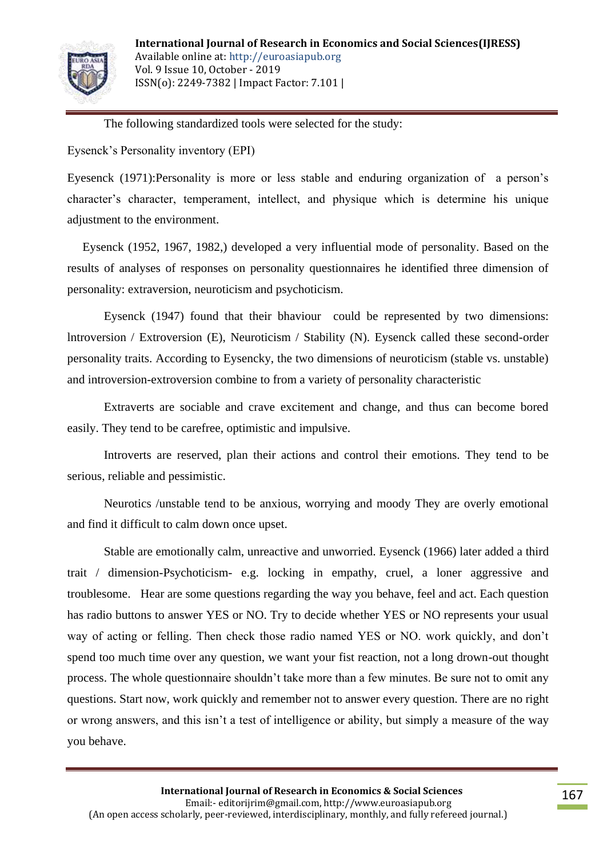

The following standardized tools were selected for the study:

Eysenck"s Personality inventory (EPI)

Eyesenck (1971):Personality is more or less stable and enduring organization of a person"s character"s character, temperament, intellect, and physique which is determine his unique adjustment to the environment.

 Eysenck (1952, 1967, 1982,) developed a very influential mode of personality. Based on the results of analyses of responses on personality questionnaires he identified three dimension of personality: extraversion, neuroticism and psychoticism.

 Eysenck (1947) found that their bhaviour could be represented by two dimensions: lntroversion / Extroversion (E), Neuroticism / Stability (N). Eysenck called these second-order personality traits. According to Eysencky, the two dimensions of neuroticism (stable vs. unstable) and introversion-extroversion combine to from a variety of personality characteristic

Extraverts are sociable and crave excitement and change, and thus can become bored easily. They tend to be carefree, optimistic and impulsive.

Introverts are reserved, plan their actions and control their emotions. They tend to be serious, reliable and pessimistic.

Neurotics /unstable tend to be anxious, worrying and moody They are overly emotional and find it difficult to calm down once upset.

Stable are emotionally calm, unreactive and unworried. Eysenck (1966) later added a third trait / dimension-Psychoticism- e.g. locking in empathy, cruel, a loner aggressive and troublesome. Hear are some questions regarding the way you behave, feel and act. Each question has radio buttons to answer YES or NO. Try to decide whether YES or NO represents your usual way of acting or felling. Then check those radio named YES or NO. work quickly, and don"t spend too much time over any question, we want your fist reaction, not a long drown-out thought process. The whole questionnaire shouldn"t take more than a few minutes. Be sure not to omit any questions. Start now, work quickly and remember not to answer every question. There are no right or wrong answers, and this isn"t a test of intelligence or ability, but simply a measure of the way you behave.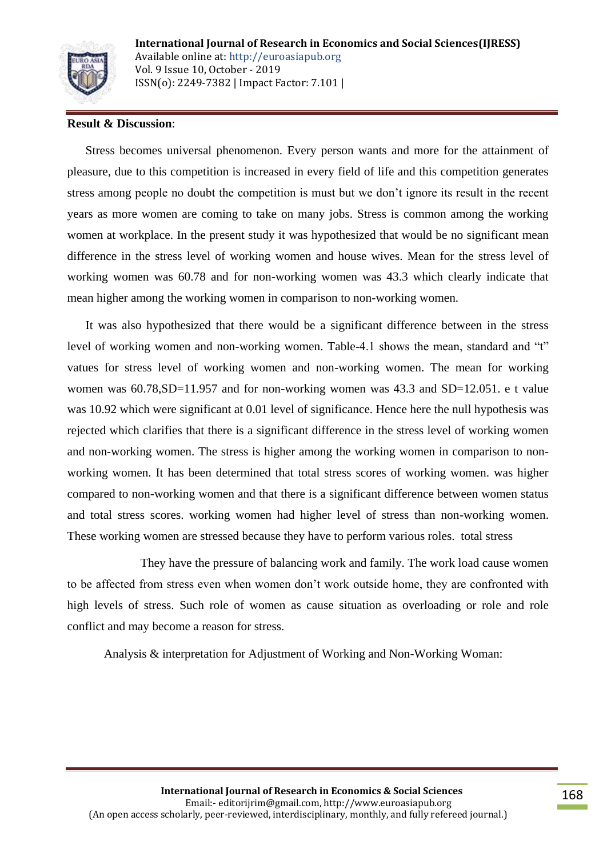

#### **Result & Discussion**:

 Stress becomes universal phenomenon. Every person wants and more for the attainment of pleasure, due to this competition is increased in every field of life and this competition generates stress among people no doubt the competition is must but we don"t ignore its result in the recent years as more women are coming to take on many jobs. Stress is common among the working women at workplace. In the present study it was hypothesized that would be no significant mean difference in the stress level of working women and house wives. Mean for the stress level of working women was 60.78 and for non-working women was 43.3 which clearly indicate that mean higher among the working women in comparison to non-working women.

 It was also hypothesized that there would be a significant difference between in the stress level of working women and non-working women. Table-4.1 shows the mean, standard and "t" vatues for stress level of working women and non-working women. The mean for working women was  $60.78$ , SD=11.957 and for non-working women was 43.3 and SD=12.051. e t value was 10.92 which were significant at 0.01 level of significance. Hence here the null hypothesis was rejected which clarifies that there is a significant difference in the stress level of working women and non-working women. The stress is higher among the working women in comparison to nonworking women. It has been determined that total stress scores of working women. was higher compared to non-working women and that there is a significant difference between women status and total stress scores. working women had higher level of stress than non-working women. These working women are stressed because they have to perform various roles. total stress

They have the pressure of balancing work and family. The work load cause women to be affected from stress even when women don"t work outside home, they are confronted with high levels of stress. Such role of women as cause situation as overloading or role and role conflict and may become a reason for stress.

Analysis & interpretation for Adjustment of Working and Non-Working Woman: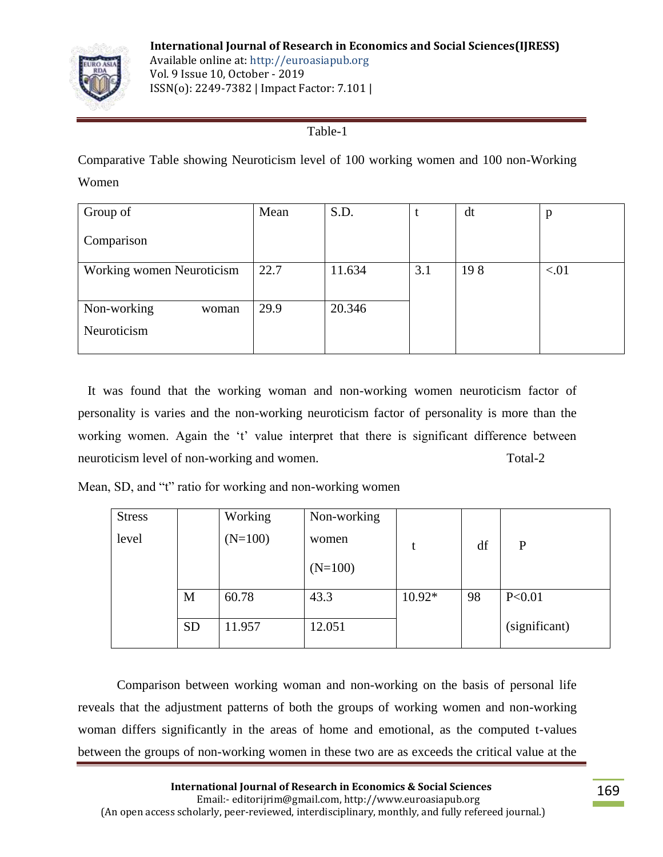

## Table-1

Comparative Table showing Neuroticism level of 100 working women and 100 non-Working Women

| Group of                  | Mean | S.D.   | t   | dt  | p    |
|---------------------------|------|--------|-----|-----|------|
| Comparison                |      |        |     |     |      |
| Working women Neuroticism | 22.7 | 11.634 | 3.1 | 198 | < 01 |
|                           |      |        |     |     |      |
| Non-working<br>woman      | 29.9 | 20.346 |     |     |      |
| Neuroticism               |      |        |     |     |      |
|                           |      |        |     |     |      |

 It was found that the working woman and non-working women neuroticism factor of personality is varies and the non-working neuroticism factor of personality is more than the working women. Again the 't' value interpret that there is significant difference between neuroticism level of non-working and women. Total-2

Mean, SD, and "t" ratio for working and non-working women

| <b>Stress</b> |           | Working   | Non-working |          |    |               |
|---------------|-----------|-----------|-------------|----------|----|---------------|
| level         |           | $(N=100)$ | women       |          | df | P             |
|               |           |           | $(N=100)$   |          |    |               |
|               | M         | 60.78     | 43.3        | $10.92*$ | 98 | P < 0.01      |
|               | <b>SD</b> | 11.957    | 12.051      |          |    | (significant) |

 Comparison between working woman and non-working on the basis of personal life reveals that the adjustment patterns of both the groups of working women and non-working woman differs significantly in the areas of home and emotional, as the computed t-values between the groups of non-working women in these two are as exceeds the critical value at the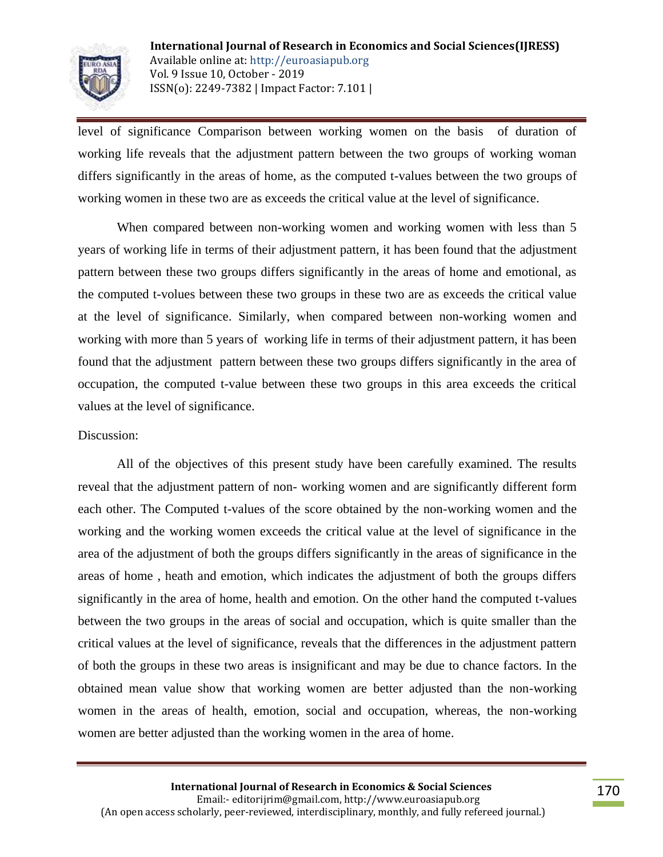

level of significance Comparison between working women on the basis of duration of working life reveals that the adjustment pattern between the two groups of working woman differs significantly in the areas of home, as the computed t-values between the two groups of working women in these two are as exceeds the critical value at the level of significance.

When compared between non-working women and working women with less than 5 years of working life in terms of their adjustment pattern, it has been found that the adjustment pattern between these two groups differs significantly in the areas of home and emotional, as the computed t-volues between these two groups in these two are as exceeds the critical value at the level of significance. Similarly, when compared between non-working women and working with more than 5 years of working life in terms of their adjustment pattern, it has been found that the adjustment pattern between these two groups differs significantly in the area of occupation, the computed t-value between these two groups in this area exceeds the critical values at the level of significance.

#### Discussion:

All of the objectives of this present study have been carefully examined. The results reveal that the adjustment pattern of non- working women and are significantly different form each other. The Computed t-values of the score obtained by the non-working women and the working and the working women exceeds the critical value at the level of significance in the area of the adjustment of both the groups differs significantly in the areas of significance in the areas of home , heath and emotion, which indicates the adjustment of both the groups differs significantly in the area of home, health and emotion. On the other hand the computed t-values between the two groups in the areas of social and occupation, which is quite smaller than the critical values at the level of significance, reveals that the differences in the adjustment pattern of both the groups in these two areas is insignificant and may be due to chance factors. In the obtained mean value show that working women are better adjusted than the non-working women in the areas of health, emotion, social and occupation, whereas, the non-working women are better adjusted than the working women in the area of home.